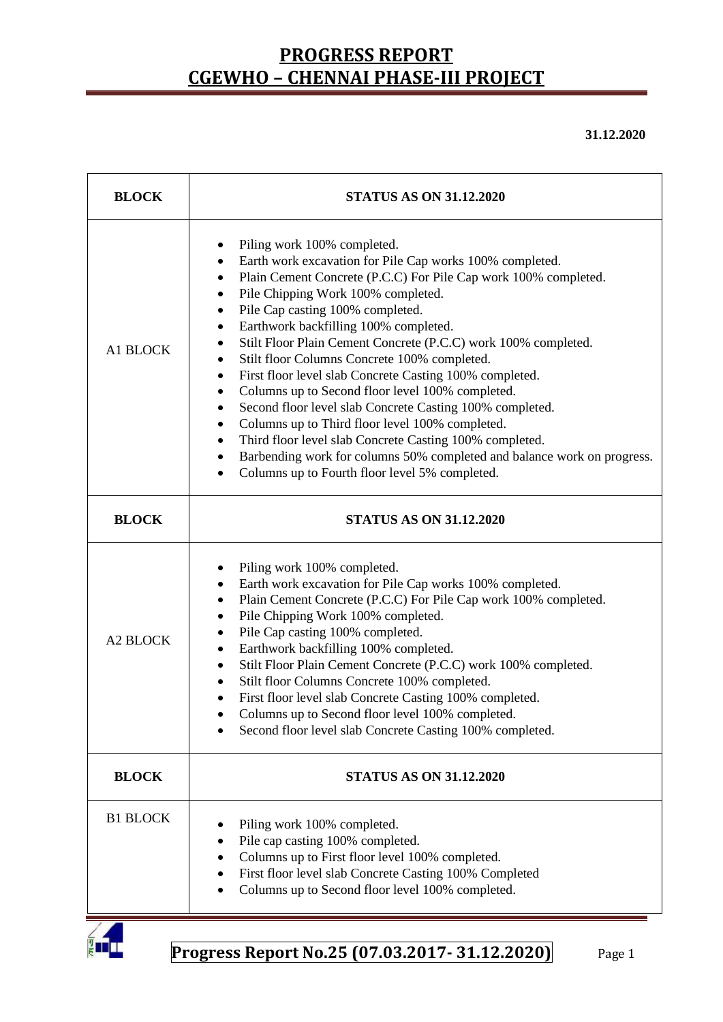**31.12.2020**

| <b>BLOCK</b>    | <b>STATUS AS ON 31.12.2020</b>                                                                                                                                                                                                                                                                                                                                                                                                                                                                                                                                                                                                                                                                                                                                                                                                                                                                                       |  |  |  |  |
|-----------------|----------------------------------------------------------------------------------------------------------------------------------------------------------------------------------------------------------------------------------------------------------------------------------------------------------------------------------------------------------------------------------------------------------------------------------------------------------------------------------------------------------------------------------------------------------------------------------------------------------------------------------------------------------------------------------------------------------------------------------------------------------------------------------------------------------------------------------------------------------------------------------------------------------------------|--|--|--|--|
| A1 BLOCK        | Piling work 100% completed.<br>٠<br>Earth work excavation for Pile Cap works 100% completed.<br>٠<br>Plain Cement Concrete (P.C.C) For Pile Cap work 100% completed.<br>٠<br>Pile Chipping Work 100% completed.<br>$\bullet$<br>Pile Cap casting 100% completed.<br>$\bullet$<br>Earthwork backfilling 100% completed.<br>$\bullet$<br>Stilt Floor Plain Cement Concrete (P.C.C) work 100% completed.<br>Stilt floor Columns Concrete 100% completed.<br>٠<br>First floor level slab Concrete Casting 100% completed.<br>$\bullet$<br>Columns up to Second floor level 100% completed.<br>$\bullet$<br>Second floor level slab Concrete Casting 100% completed.<br>٠<br>Columns up to Third floor level 100% completed.<br>٠<br>Third floor level slab Concrete Casting 100% completed.<br>Barbending work for columns 50% completed and balance work on progress.<br>Columns up to Fourth floor level 5% completed. |  |  |  |  |
| <b>BLOCK</b>    | <b>STATUS AS ON 31.12.2020</b>                                                                                                                                                                                                                                                                                                                                                                                                                                                                                                                                                                                                                                                                                                                                                                                                                                                                                       |  |  |  |  |
| <b>A2 BLOCK</b> | Piling work 100% completed.<br>Earth work excavation for Pile Cap works 100% completed.<br>Plain Cement Concrete (P.C.C) For Pile Cap work 100% completed.<br>Pile Chipping Work 100% completed.<br>Pile Cap casting 100% completed.<br>Earthwork backfilling 100% completed.<br>٠<br>Stilt Floor Plain Cement Concrete (P.C.C) work 100% completed.<br>٠<br>Stilt floor Columns Concrete 100% completed.<br>$\bullet$<br>First floor level slab Concrete Casting 100% completed.<br>Columns up to Second floor level 100% completed.<br>Second floor level slab Concrete Casting 100% completed.                                                                                                                                                                                                                                                                                                                    |  |  |  |  |
| <b>BLOCK</b>    | <b>STATUS AS ON 31.12.2020</b>                                                                                                                                                                                                                                                                                                                                                                                                                                                                                                                                                                                                                                                                                                                                                                                                                                                                                       |  |  |  |  |
| <b>B1 BLOCK</b> | Piling work 100% completed.<br>Pile cap casting 100% completed.<br>Columns up to First floor level 100% completed.<br>First floor level slab Concrete Casting 100% Completed<br>Columns up to Second floor level 100% completed.                                                                                                                                                                                                                                                                                                                                                                                                                                                                                                                                                                                                                                                                                     |  |  |  |  |

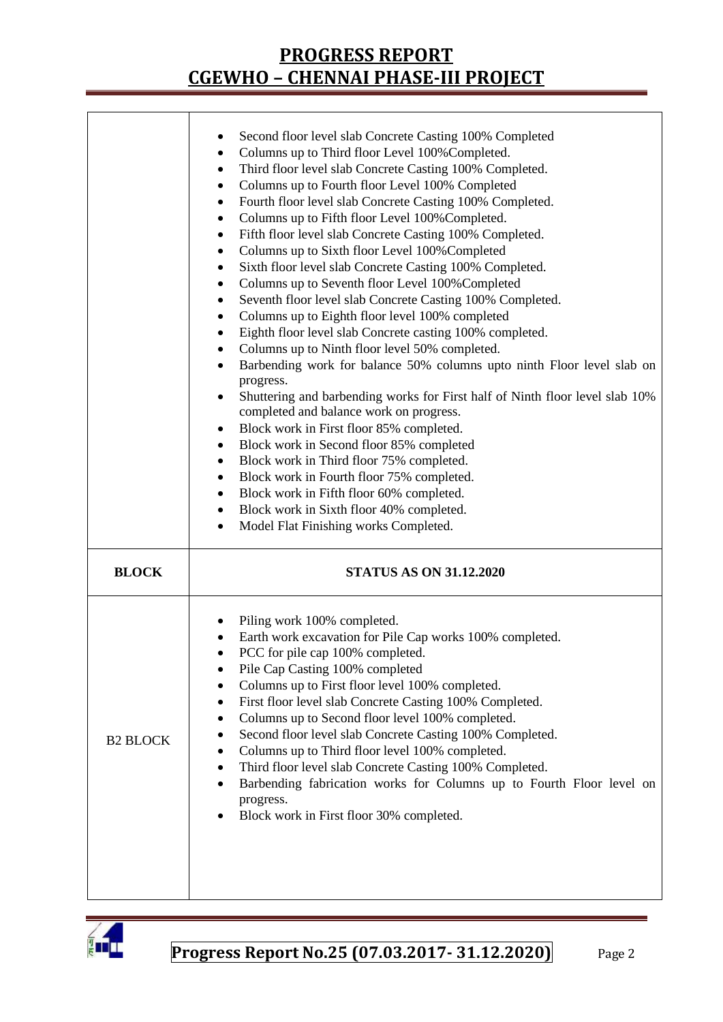|                 | Second floor level slab Concrete Casting 100% Completed<br>Columns up to Third floor Level 100% Completed.<br>٠<br>Third floor level slab Concrete Casting 100% Completed.<br>٠<br>Columns up to Fourth floor Level 100% Completed<br>٠<br>Fourth floor level slab Concrete Casting 100% Completed.<br>٠<br>Columns up to Fifth floor Level 100% Completed.<br>٠<br>Fifth floor level slab Concrete Casting 100% Completed.<br>٠<br>Columns up to Sixth floor Level 100% Completed<br>٠<br>Sixth floor level slab Concrete Casting 100% Completed.<br>٠<br>Columns up to Seventh floor Level 100% Completed<br>٠<br>Seventh floor level slab Concrete Casting 100% Completed.<br>٠<br>Columns up to Eighth floor level 100% completed<br>٠<br>Eighth floor level slab Concrete casting 100% completed.<br>٠<br>Columns up to Ninth floor level 50% completed.<br>٠<br>Barbending work for balance 50% columns upto ninth Floor level slab on<br>$\bullet$<br>progress.<br>Shuttering and barbending works for First half of Ninth floor level slab 10%<br>$\bullet$<br>completed and balance work on progress.<br>Block work in First floor 85% completed.<br>٠<br>Block work in Second floor 85% completed<br>٠<br>Block work in Third floor 75% completed.<br>٠<br>Block work in Fourth floor 75% completed.<br>٠<br>Block work in Fifth floor 60% completed.<br>٠<br>Block work in Sixth floor 40% completed.<br>٠<br>Model Flat Finishing works Completed.<br>٠ |  |  |  |  |
|-----------------|---------------------------------------------------------------------------------------------------------------------------------------------------------------------------------------------------------------------------------------------------------------------------------------------------------------------------------------------------------------------------------------------------------------------------------------------------------------------------------------------------------------------------------------------------------------------------------------------------------------------------------------------------------------------------------------------------------------------------------------------------------------------------------------------------------------------------------------------------------------------------------------------------------------------------------------------------------------------------------------------------------------------------------------------------------------------------------------------------------------------------------------------------------------------------------------------------------------------------------------------------------------------------------------------------------------------------------------------------------------------------------------------------------------------------------------------------------------------|--|--|--|--|
| <b>BLOCK</b>    | <b>STATUS AS ON 31.12.2020</b>                                                                                                                                                                                                                                                                                                                                                                                                                                                                                                                                                                                                                                                                                                                                                                                                                                                                                                                                                                                                                                                                                                                                                                                                                                                                                                                                                                                                                                      |  |  |  |  |
| <b>B2 BLOCK</b> | Piling work 100% completed.<br>Earth work excavation for Pile Cap works 100% completed.<br>PCC for pile cap 100% completed.<br>Pile Cap Casting 100% completed<br>Columns up to First floor level 100% completed.<br>First floor level slab Concrete Casting 100% Completed.<br>Columns up to Second floor level 100% completed.<br>Second floor level slab Concrete Casting 100% Completed.<br>Columns up to Third floor level 100% completed.<br>٠<br>Third floor level slab Concrete Casting 100% Completed.<br>٠<br>Barbending fabrication works for Columns up to Fourth Floor level on<br>٠<br>progress.<br>Block work in First floor 30% completed.                                                                                                                                                                                                                                                                                                                                                                                                                                                                                                                                                                                                                                                                                                                                                                                                          |  |  |  |  |

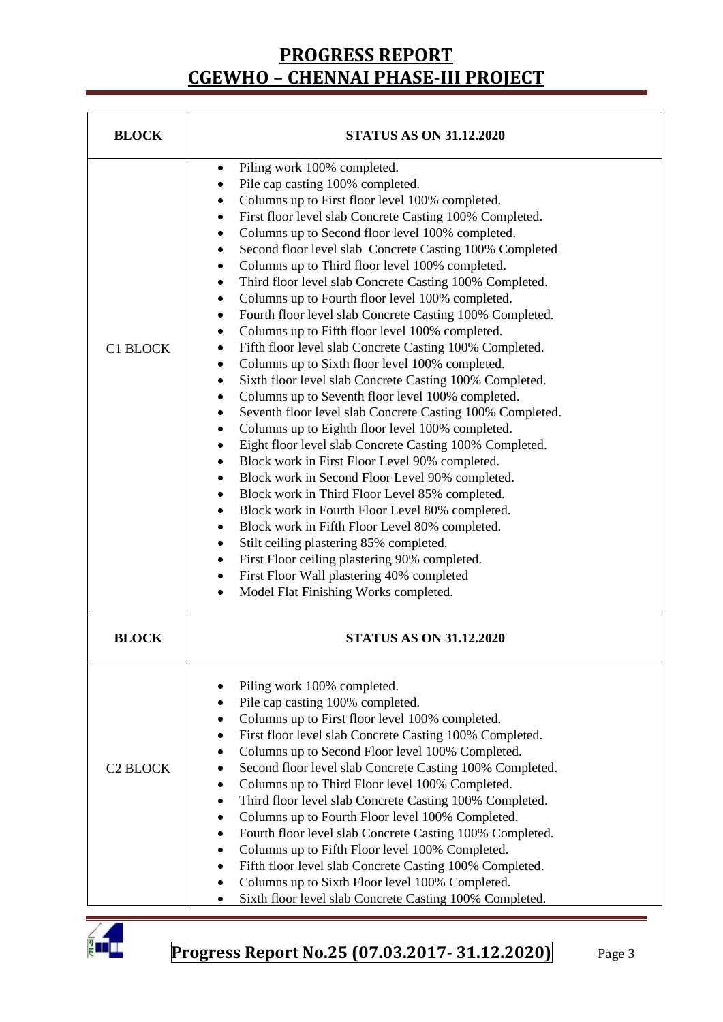| <b>BLOCK</b>    | <b>STATUS AS ON 31.12.2020</b>                                                                                                                                                                                                                                                                                                                                                                                                                                                                                                                                                                                                                                                                                                                                                                                                                                                                                                                                                                                                                                                                                                                                                                                                                                                                                                                                                                                                                                                                                                                                                                                                                               |  |  |  |  |
|-----------------|--------------------------------------------------------------------------------------------------------------------------------------------------------------------------------------------------------------------------------------------------------------------------------------------------------------------------------------------------------------------------------------------------------------------------------------------------------------------------------------------------------------------------------------------------------------------------------------------------------------------------------------------------------------------------------------------------------------------------------------------------------------------------------------------------------------------------------------------------------------------------------------------------------------------------------------------------------------------------------------------------------------------------------------------------------------------------------------------------------------------------------------------------------------------------------------------------------------------------------------------------------------------------------------------------------------------------------------------------------------------------------------------------------------------------------------------------------------------------------------------------------------------------------------------------------------------------------------------------------------------------------------------------------------|--|--|--|--|
| <b>C1 BLOCK</b> | Piling work 100% completed.<br>٠<br>Pile cap casting 100% completed.<br>٠<br>Columns up to First floor level 100% completed.<br>٠<br>First floor level slab Concrete Casting 100% Completed.<br>٠<br>Columns up to Second floor level 100% completed.<br>٠<br>Second floor level slab Concrete Casting 100% Completed<br>$\bullet$<br>Columns up to Third floor level 100% completed.<br>٠<br>Third floor level slab Concrete Casting 100% Completed.<br>٠<br>Columns up to Fourth floor level 100% completed.<br>٠<br>Fourth floor level slab Concrete Casting 100% Completed.<br>٠<br>Columns up to Fifth floor level 100% completed.<br>٠<br>Fifth floor level slab Concrete Casting 100% Completed.<br>٠<br>Columns up to Sixth floor level 100% completed.<br>٠<br>Sixth floor level slab Concrete Casting 100% Completed.<br>٠<br>Columns up to Seventh floor level 100% completed.<br>٠<br>Seventh floor level slab Concrete Casting 100% Completed.<br>٠<br>Columns up to Eighth floor level 100% completed.<br>$\bullet$<br>Eight floor level slab Concrete Casting 100% Completed.<br>$\bullet$<br>Block work in First Floor Level 90% completed.<br>$\bullet$<br>Block work in Second Floor Level 90% completed.<br>٠<br>Block work in Third Floor Level 85% completed.<br>$\bullet$<br>Block work in Fourth Floor Level 80% completed.<br>$\bullet$<br>Block work in Fifth Floor Level 80% completed.<br>$\bullet$<br>Stilt ceiling plastering 85% completed.<br>٠<br>First Floor ceiling plastering 90% completed.<br>$\bullet$<br>First Floor Wall plastering 40% completed<br>$\bullet$<br>Model Flat Finishing Works completed.<br>$\bullet$ |  |  |  |  |
| <b>BLOCK</b>    | <b>STATUS AS ON 31.12.2020</b>                                                                                                                                                                                                                                                                                                                                                                                                                                                                                                                                                                                                                                                                                                                                                                                                                                                                                                                                                                                                                                                                                                                                                                                                                                                                                                                                                                                                                                                                                                                                                                                                                               |  |  |  |  |
| <b>C2 BLOCK</b> | Piling work 100% completed.<br>Pile cap casting 100% completed.<br>$\bullet$<br>Columns up to First floor level 100% completed.<br>٠<br>First floor level slab Concrete Casting 100% Completed.<br>٠<br>Columns up to Second Floor level 100% Completed.<br>٠<br>Second floor level slab Concrete Casting 100% Completed.<br>٠<br>Columns up to Third Floor level 100% Completed.<br>٠<br>Third floor level slab Concrete Casting 100% Completed.<br>٠<br>Columns up to Fourth Floor level 100% Completed.<br>٠<br>Fourth floor level slab Concrete Casting 100% Completed.<br>٠<br>Columns up to Fifth Floor level 100% Completed.<br>٠<br>Fifth floor level slab Concrete Casting 100% Completed.<br>٠<br>Columns up to Sixth Floor level 100% Completed.<br>٠<br>Sixth floor level slab Concrete Casting 100% Completed.                                                                                                                                                                                                                                                                                                                                                                                                                                                                                                                                                                                                                                                                                                                                                                                                                                  |  |  |  |  |

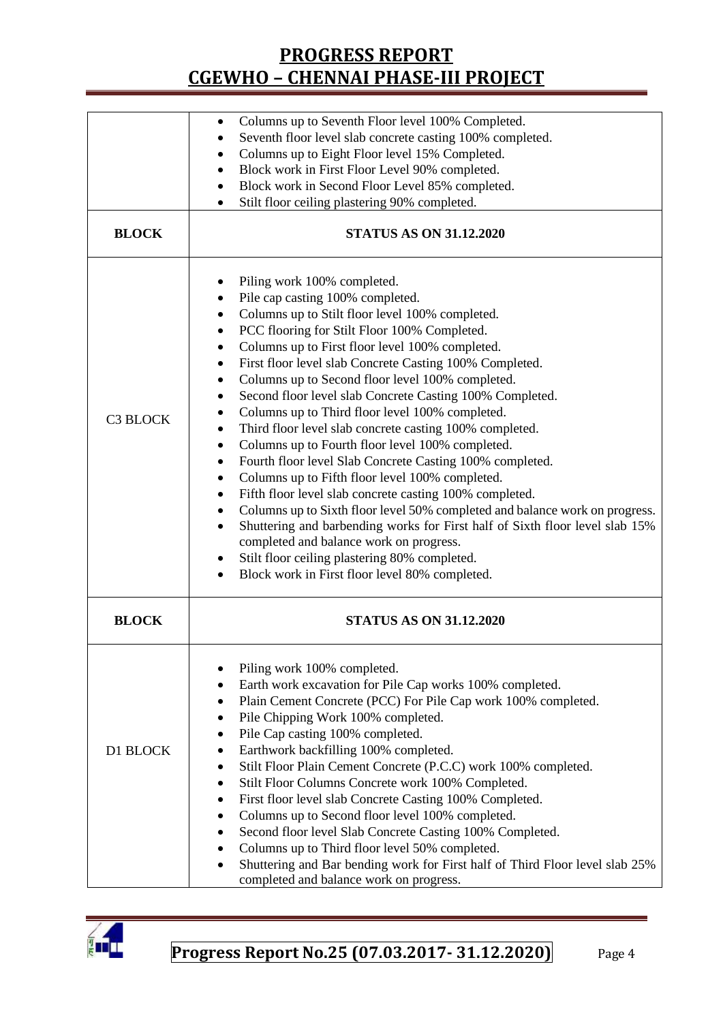|                 | Columns up to Seventh Floor level 100% Completed.<br>Seventh floor level slab concrete casting 100% completed.<br>Columns up to Eight Floor level 15% Completed.<br>Block work in First Floor Level 90% completed.<br>Block work in Second Floor Level 85% completed.<br>٠<br>Stilt floor ceiling plastering 90% completed.                                                                                                                                                                                                                                                                                                                                                                                                                                                                                                                                                                                                                                                                                                                                                                                                                                           |  |  |  |  |  |  |
|-----------------|-----------------------------------------------------------------------------------------------------------------------------------------------------------------------------------------------------------------------------------------------------------------------------------------------------------------------------------------------------------------------------------------------------------------------------------------------------------------------------------------------------------------------------------------------------------------------------------------------------------------------------------------------------------------------------------------------------------------------------------------------------------------------------------------------------------------------------------------------------------------------------------------------------------------------------------------------------------------------------------------------------------------------------------------------------------------------------------------------------------------------------------------------------------------------|--|--|--|--|--|--|
| <b>BLOCK</b>    | <b>STATUS AS ON 31.12.2020</b>                                                                                                                                                                                                                                                                                                                                                                                                                                                                                                                                                                                                                                                                                                                                                                                                                                                                                                                                                                                                                                                                                                                                        |  |  |  |  |  |  |
| <b>C3 BLOCK</b> | Piling work 100% completed.<br>Pile cap casting 100% completed.<br>Columns up to Stilt floor level 100% completed.<br>٠<br>PCC flooring for Stilt Floor 100% Completed.<br>$\bullet$<br>Columns up to First floor level 100% completed.<br>First floor level slab Concrete Casting 100% Completed.<br>$\bullet$<br>Columns up to Second floor level 100% completed.<br>$\bullet$<br>Second floor level slab Concrete Casting 100% Completed.<br>$\bullet$<br>Columns up to Third floor level 100% completed.<br>Third floor level slab concrete casting 100% completed.<br>٠<br>Columns up to Fourth floor level 100% completed.<br>٠<br>Fourth floor level Slab Concrete Casting 100% completed.<br>٠<br>Columns up to Fifth floor level 100% completed.<br>$\bullet$<br>Fifth floor level slab concrete casting 100% completed.<br>٠<br>Columns up to Sixth floor level 50% completed and balance work on progress.<br>٠<br>Shuttering and barbending works for First half of Sixth floor level slab 15%<br>$\bullet$<br>completed and balance work on progress.<br>Stilt floor ceiling plastering 80% completed.<br>Block work in First floor level 80% completed. |  |  |  |  |  |  |
| <b>BLOCK</b>    | <b>STATUS AS ON 31.12.2020</b>                                                                                                                                                                                                                                                                                                                                                                                                                                                                                                                                                                                                                                                                                                                                                                                                                                                                                                                                                                                                                                                                                                                                        |  |  |  |  |  |  |
| D1 BLOCK        | Piling work 100% completed.<br>Earth work excavation for Pile Cap works 100% completed.<br>٠<br>Plain Cement Concrete (PCC) For Pile Cap work 100% completed.<br>Pile Chipping Work 100% completed.<br>Pile Cap casting 100% completed.<br>Earthwork backfilling 100% completed.<br>Stilt Floor Plain Cement Concrete (P.C.C) work 100% completed.<br>٠<br>Stilt Floor Columns Concrete work 100% Completed.<br>٠<br>First floor level slab Concrete Casting 100% Completed.<br>٠<br>Columns up to Second floor level 100% completed.<br>$\bullet$<br>Second floor level Slab Concrete Casting 100% Completed.<br>$\bullet$<br>Columns up to Third floor level 50% completed.<br>٠<br>Shuttering and Bar bending work for First half of Third Floor level slab 25%<br>completed and balance work on progress.                                                                                                                                                                                                                                                                                                                                                         |  |  |  |  |  |  |

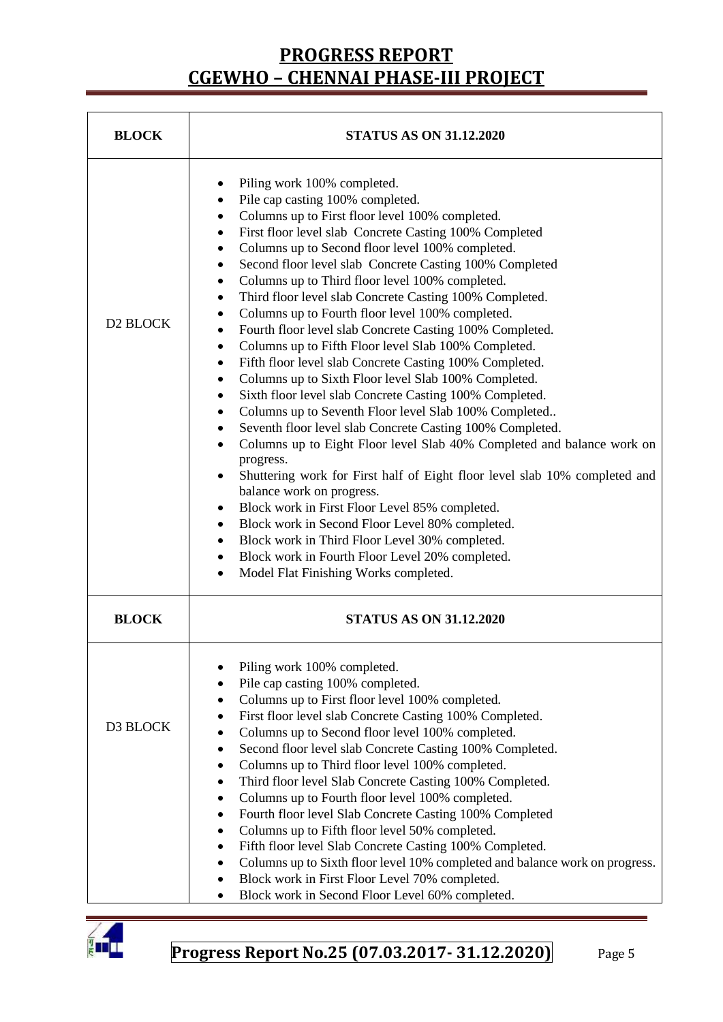| <b>BLOCK</b>         | <b>STATUS AS ON 31.12.2020</b>                                                                                                                                                                                                                                                                                                                                                                                                                                                                                                                                                                                                                                                                                                                                                                                                                                                                                                                                                                                                                                                                                                                                                                                                                                                                                                                                                                                                                                                                                                                                 |  |  |  |  |
|----------------------|----------------------------------------------------------------------------------------------------------------------------------------------------------------------------------------------------------------------------------------------------------------------------------------------------------------------------------------------------------------------------------------------------------------------------------------------------------------------------------------------------------------------------------------------------------------------------------------------------------------------------------------------------------------------------------------------------------------------------------------------------------------------------------------------------------------------------------------------------------------------------------------------------------------------------------------------------------------------------------------------------------------------------------------------------------------------------------------------------------------------------------------------------------------------------------------------------------------------------------------------------------------------------------------------------------------------------------------------------------------------------------------------------------------------------------------------------------------------------------------------------------------------------------------------------------------|--|--|--|--|
| D <sub>2</sub> BLOCK | Piling work 100% completed.<br>Pile cap casting 100% completed.<br>$\bullet$<br>Columns up to First floor level 100% completed.<br>$\bullet$<br>First floor level slab Concrete Casting 100% Completed<br>$\bullet$<br>Columns up to Second floor level 100% completed.<br>$\bullet$<br>Second floor level slab Concrete Casting 100% Completed<br>$\bullet$<br>Columns up to Third floor level 100% completed.<br>٠<br>Third floor level slab Concrete Casting 100% Completed.<br>$\bullet$<br>Columns up to Fourth floor level 100% completed.<br>٠<br>Fourth floor level slab Concrete Casting 100% Completed.<br>٠<br>Columns up to Fifth Floor level Slab 100% Completed.<br>٠<br>Fifth floor level slab Concrete Casting 100% Completed.<br>$\bullet$<br>Columns up to Sixth Floor level Slab 100% Completed.<br>$\bullet$<br>Sixth floor level slab Concrete Casting 100% Completed.<br>$\bullet$<br>Columns up to Seventh Floor level Slab 100% Completed<br>٠<br>Seventh floor level slab Concrete Casting 100% Completed.<br>Columns up to Eight Floor level Slab 40% Completed and balance work on<br>$\bullet$<br>progress.<br>Shuttering work for First half of Eight floor level slab 10% completed and<br>$\bullet$<br>balance work on progress.<br>Block work in First Floor Level 85% completed.<br>٠<br>Block work in Second Floor Level 80% completed.<br>$\bullet$<br>Block work in Third Floor Level 30% completed.<br>$\bullet$<br>Block work in Fourth Floor Level 20% completed.<br>$\bullet$<br>Model Flat Finishing Works completed. |  |  |  |  |
| <b>BLOCK</b>         | <b>STATUS AS ON 31.12.2020</b>                                                                                                                                                                                                                                                                                                                                                                                                                                                                                                                                                                                                                                                                                                                                                                                                                                                                                                                                                                                                                                                                                                                                                                                                                                                                                                                                                                                                                                                                                                                                 |  |  |  |  |
| D3 BLOCK             | Piling work 100% completed.<br>Pile cap casting 100% completed.<br>Columns up to First floor level 100% completed.<br>First floor level slab Concrete Casting 100% Completed.<br>Columns up to Second floor level 100% completed.<br>٠<br>Second floor level slab Concrete Casting 100% Completed.<br>٠<br>Columns up to Third floor level 100% completed.<br>Third floor level Slab Concrete Casting 100% Completed.<br>Columns up to Fourth floor level 100% completed.<br>٠<br>Fourth floor level Slab Concrete Casting 100% Completed<br>Columns up to Fifth floor level 50% completed.<br>Fifth floor level Slab Concrete Casting 100% Completed.<br>Columns up to Sixth floor level 10% completed and balance work on progress.<br>Block work in First Floor Level 70% completed.<br>Block work in Second Floor Level 60% completed.                                                                                                                                                                                                                                                                                                                                                                                                                                                                                                                                                                                                                                                                                                                     |  |  |  |  |

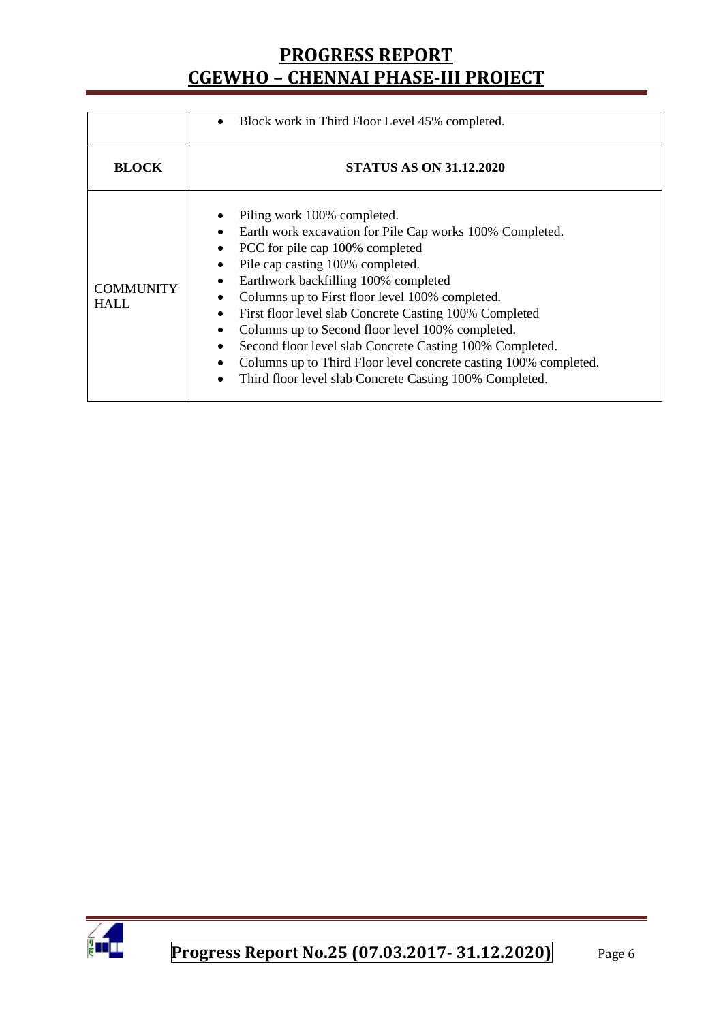|                                 | Block work in Third Floor Level 45% completed.                                                                                                                                                                                                                                                                                                                                                                                                                                                                                                                     |  |  |  |  |  |
|---------------------------------|--------------------------------------------------------------------------------------------------------------------------------------------------------------------------------------------------------------------------------------------------------------------------------------------------------------------------------------------------------------------------------------------------------------------------------------------------------------------------------------------------------------------------------------------------------------------|--|--|--|--|--|
| <b>BLOCK</b>                    | <b>STATUS AS ON 31.12.2020</b>                                                                                                                                                                                                                                                                                                                                                                                                                                                                                                                                     |  |  |  |  |  |
| <b>COMMUNITY</b><br><b>HALL</b> | Piling work 100% completed.<br>Earth work excavation for Pile Cap works 100% Completed.<br>PCC for pile cap 100% completed<br>Pile cap casting 100% completed.<br>Earthwork backfilling 100% completed<br>Columns up to First floor level 100% completed.<br>First floor level slab Concrete Casting 100% Completed<br>Columns up to Second floor level 100% completed.<br>Second floor level slab Concrete Casting 100% Completed.<br>Columns up to Third Floor level concrete casting 100% completed.<br>Third floor level slab Concrete Casting 100% Completed. |  |  |  |  |  |

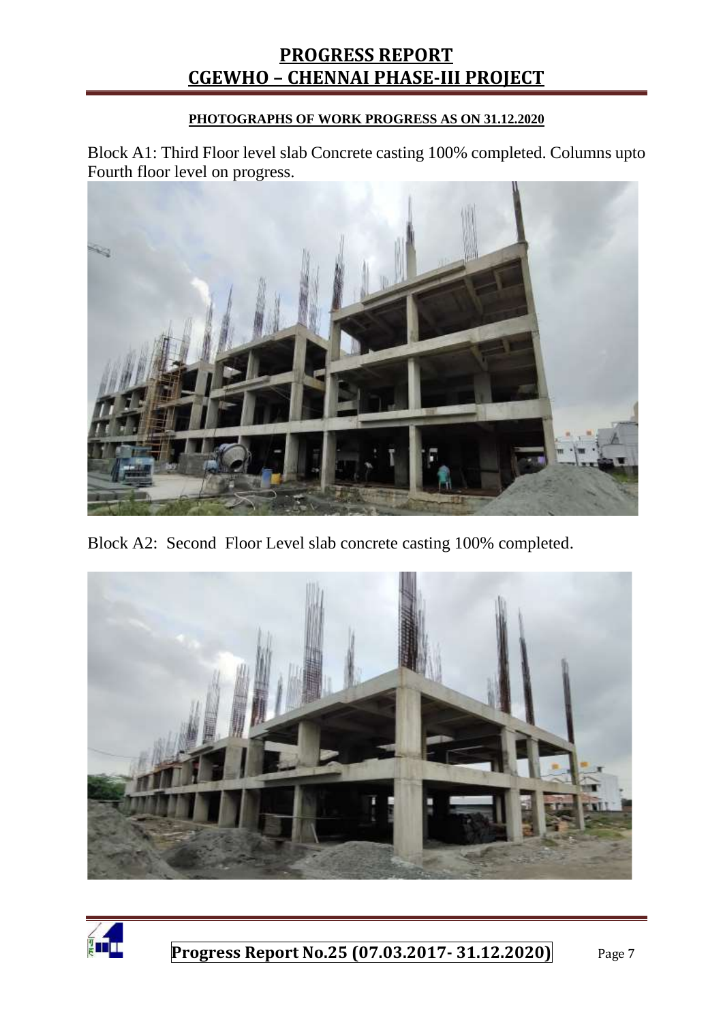#### **PHOTOGRAPHS OF WORK PROGRESS AS ON 31.12.2020**

Block A1: Third Floor level slab Concrete casting 100% completed. Columns upto Fourth floor level on progress.



Block A2: Second Floor Level slab concrete casting 100% completed.



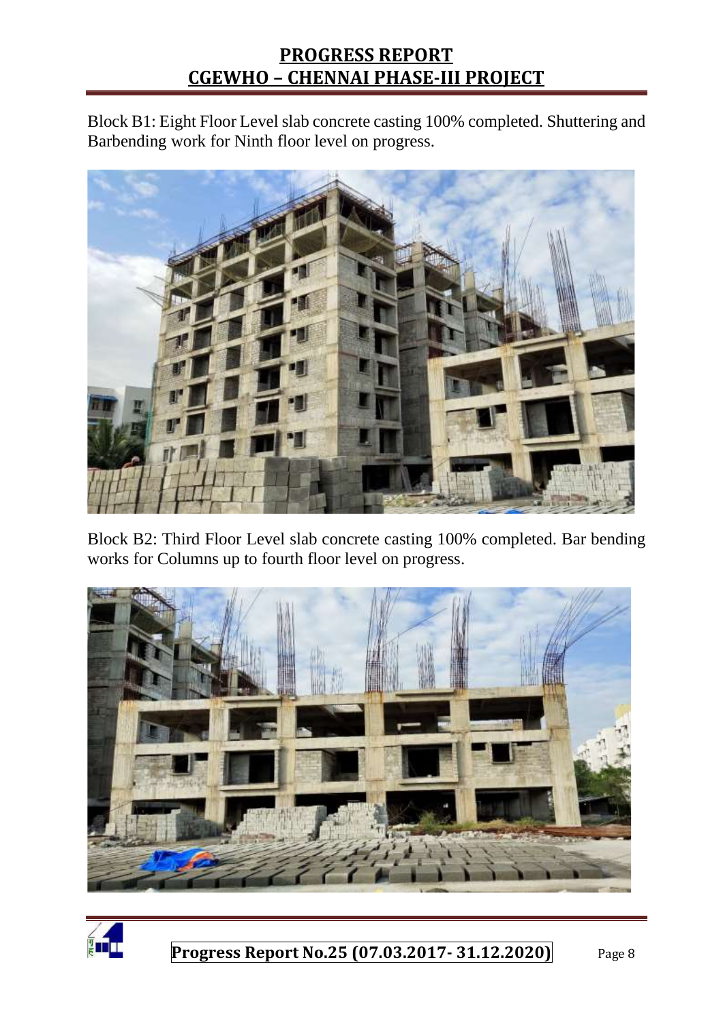Block B1: Eight Floor Level slab concrete casting 100% completed. Shuttering and Barbending work for Ninth floor level on progress.



Block B2: Third Floor Level slab concrete casting 100% completed. Bar bending works for Columns up to fourth floor level on progress.



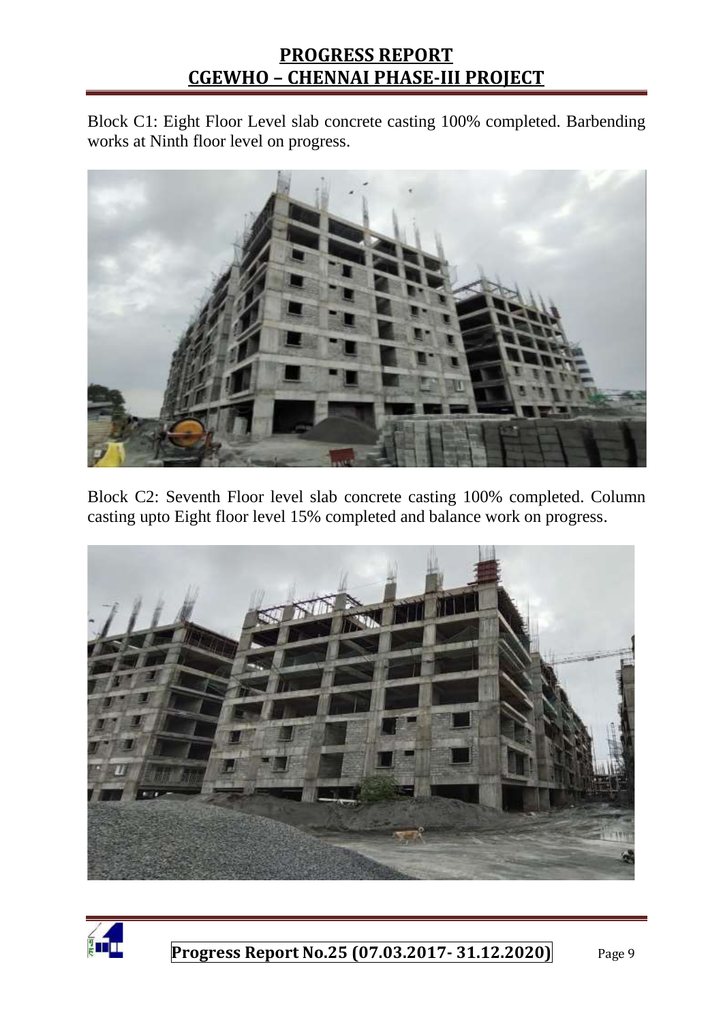Block C1: Eight Floor Level slab concrete casting 100% completed. Barbending works at Ninth floor level on progress.



Block C2: Seventh Floor level slab concrete casting 100% completed. Column casting upto Eight floor level 15% completed and balance work on progress.



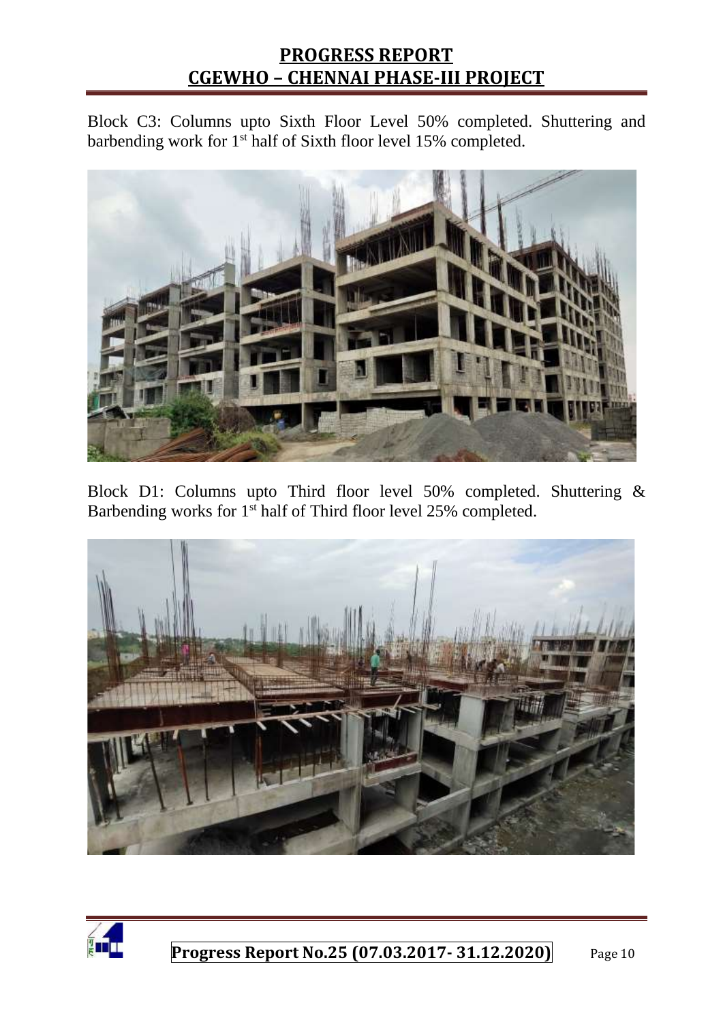Block C3: Columns upto Sixth Floor Level 50% completed. Shuttering and barbending work for 1<sup>st</sup> half of Sixth floor level 15% completed.



Block D1: Columns upto Third floor level 50% completed. Shuttering & Barbending works for 1<sup>st</sup> half of Third floor level 25% completed.



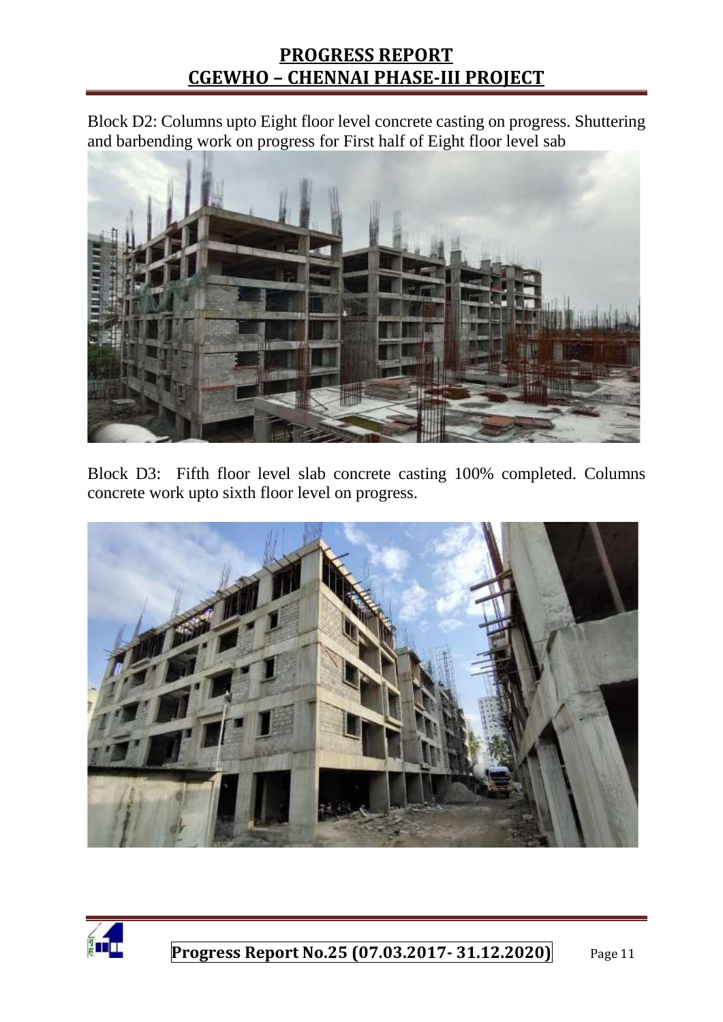Block D2: Columns upto Eight floor level concrete casting on progress. Shuttering and barbending work on progress for First half of Eight floor level sab



Block D3: Fifth floor level slab concrete casting 100% completed. Columns concrete work upto sixth floor level on progress.



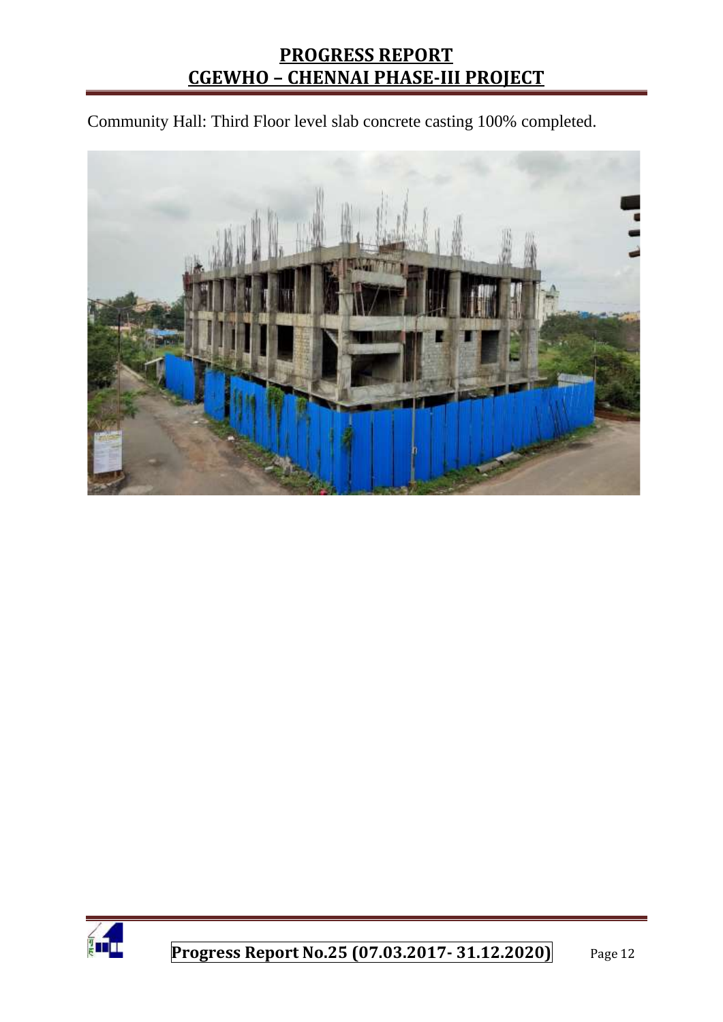Community Hall: Third Floor level slab concrete casting 100% completed.



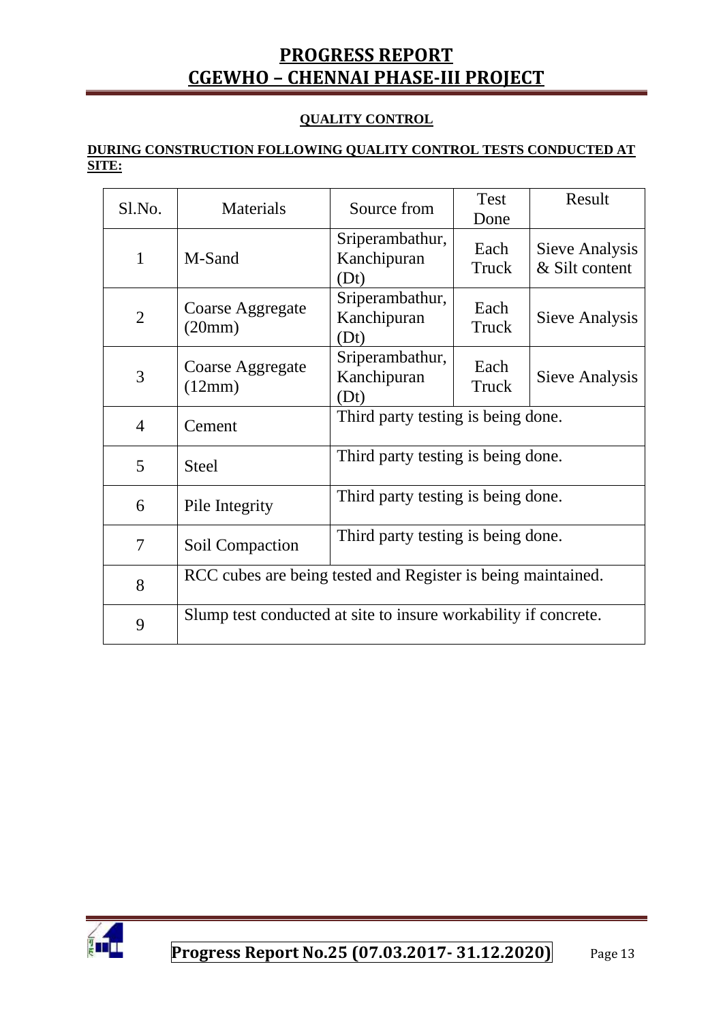#### **QUALITY CONTROL**

#### **DURING CONSTRUCTION FOLLOWING QUALITY CONTROL TESTS CONDUCTED AT SITE:**

| Sl.No.         | Materials                                                       | Source from                            | <b>Test</b><br>Done | Result                           |  |
|----------------|-----------------------------------------------------------------|----------------------------------------|---------------------|----------------------------------|--|
| $\mathbf{1}$   | M-Sand                                                          | Sriperambathur,<br>Kanchipuran<br>(Dt) | Each<br>Truck       | Sieve Analysis<br>& Silt content |  |
| $\overline{2}$ | Coarse Aggregate<br>(20mm)                                      | Sriperambathur,<br>Kanchipuran<br>(Dt) | Each<br>Truck       | Sieve Analysis                   |  |
| 3              | Coarse Aggregate<br>(12mm)                                      | Sriperambathur,<br>Kanchipuran<br>(Dt) | Each<br>Truck       | Sieve Analysis                   |  |
| $\overline{4}$ | Cement                                                          | Third party testing is being done.     |                     |                                  |  |
| 5              | <b>Steel</b>                                                    | Third party testing is being done.     |                     |                                  |  |
| 6              | Pile Integrity                                                  | Third party testing is being done.     |                     |                                  |  |
| $\tau$         | Soil Compaction                                                 | Third party testing is being done.     |                     |                                  |  |
| 8              | RCC cubes are being tested and Register is being maintained.    |                                        |                     |                                  |  |
| 9              | Slump test conducted at site to insure workability if concrete. |                                        |                     |                                  |  |

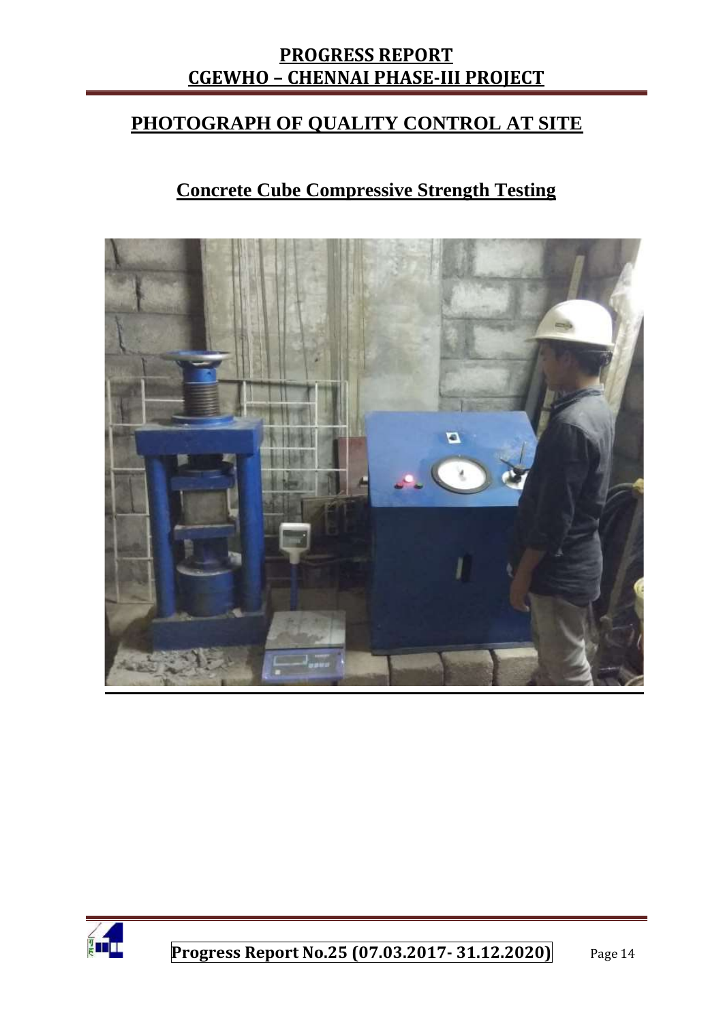### **PHOTOGRAPH OF QUALITY CONTROL AT SITE**

# **Concrete Cube Compressive Strength Testing**



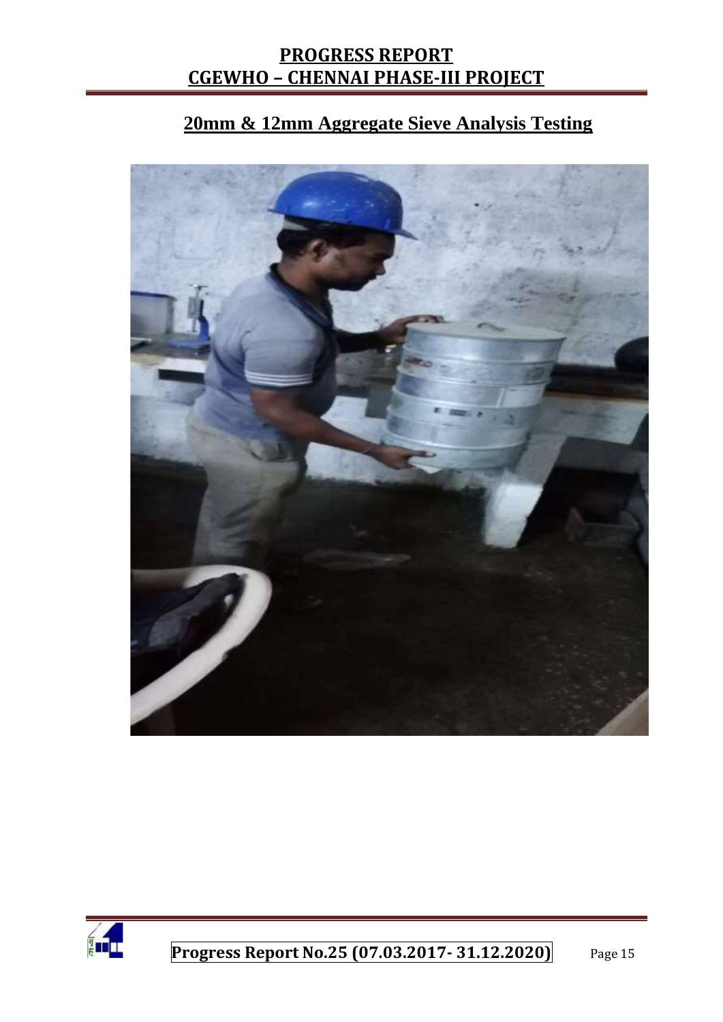# **20mm & 12mm Aggregate Sieve Analysis Testing**